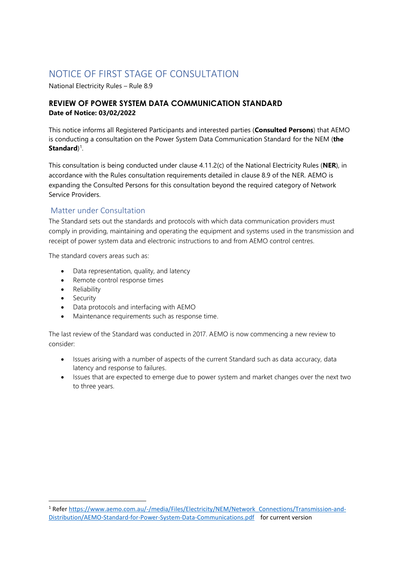# NOTICE OF FIRST STAGE OF CONSULTATION

National Electricity Rules – Rule 8.9

## **REVIEW OF POWER SYSTEM DATA COMMUNICATION STANDARD Date of Notice: 03/02/2022**

This notice informs all Registered Participants and interested parties (**Consulted Persons**) that AEMO is conducting a consultation on the Power System Data Communication Standard for the NEM (**the Standard**)<sup>1</sup>.

This consultation is being conducted under clause 4.11.2(c) of the National Electricity Rules (**NER**), in accordance with the Rules consultation requirements detailed in clause 8.9 of the NER. AEMO is expanding the Consulted Persons for this consultation beyond the required category of Network Service Providers.

## Matter under Consultation

The Standard sets out the standards and protocols with which data communication providers must comply in providing, maintaining and operating the equipment and systems used in the transmission and receipt of power system data and electronic instructions to and from AEMO control centres.

The standard covers areas such as:

- Data representation, quality, and latency
- Remote control response times
- Reliability
- Security
- Data protocols and interfacing with AEMO
- Maintenance requirements such as response time.

The last review of the Standard was conducted in 2017. AEMO is now commencing a new review to consider:

- Issues arising with a number of aspects of the current Standard such as data accuracy, data latency and response to failures.
- Issues that are expected to emerge due to power system and market changes over the next two to three years.

<sup>&</sup>lt;sup>1</sup> Refe[r https://www.aemo.com.au/-/media/Files/Electricity/NEM/Network\\_Connections/Transmission-and-](https://www.aemo.com.au/-/media/Files/Electricity/NEM/Network_Connections/Transmission-and-Distribution/AEMO-Standard-for-Power-System-Data-Communications.pdf)[Distribution/AEMO-Standard-for-Power-System-Data-Communications.pdf](https://www.aemo.com.au/-/media/Files/Electricity/NEM/Network_Connections/Transmission-and-Distribution/AEMO-Standard-for-Power-System-Data-Communications.pdf) for current version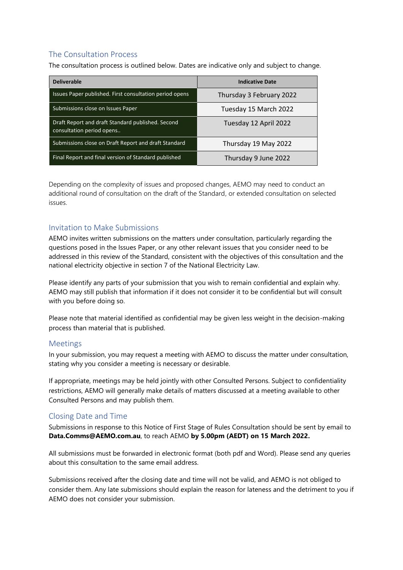# The Consultation Process

The consultation process is outlined below. Dates are indicative only and subject to change.

| <b>Deliverable</b>                                                             | <b>Indicative Date</b>   |
|--------------------------------------------------------------------------------|--------------------------|
| Issues Paper published. First consultation period opens                        | Thursday 3 February 2022 |
| Submissions close on Issues Paper                                              | Tuesday 15 March 2022    |
| Draft Report and draft Standard published. Second<br>consultation period opens | Tuesday 12 April 2022    |
| Submissions close on Draft Report and draft Standard                           | Thursday 19 May 2022     |
| Final Report and final version of Standard published                           | Thursday 9 June 2022     |

Depending on the complexity of issues and proposed changes, AEMO may need to conduct an additional round of consultation on the draft of the Standard, or extended consultation on selected issues.

#### Invitation to Make Submissions

AEMO invites written submissions on the matters under consultation, particularly regarding the questions posed in the Issues Paper, or any other relevant issues that you consider need to be addressed in this review of the Standard, consistent with the objectives of this consultation and the national electricity objective in section 7 of the National Electricity Law.

Please identify any parts of your submission that you wish to remain confidential and explain why. AEMO may still publish that information if it does not consider it to be confidential but will consult with you before doing so.

Please note that material identified as confidential may be given less weight in the decision-making process than material that is published.

#### Meetings

In your submission, you may request a meeting with AEMO to discuss the matter under consultation, stating why you consider a meeting is necessary or desirable.

If appropriate, meetings may be held jointly with other Consulted Persons. Subject to confidentiality restrictions, AEMO will generally make details of matters discussed at a meeting available to other Consulted Persons and may publish them.

#### Closing Date and Time

Submissions in response to this Notice of First Stage of Rules Consultation should be sent by email to **Data.Comms@AEMO.com.au**, to reach AEMO **by 5.00pm (AEDT) on 15 March 2022.** 

All submissions must be forwarded in electronic format (both pdf and Word). Please send any queries about this consultation to the same email address.

Submissions received after the closing date and time will not be valid, and AEMO is not obliged to consider them. Any late submissions should explain the reason for lateness and the detriment to you if AEMO does not consider your submission.